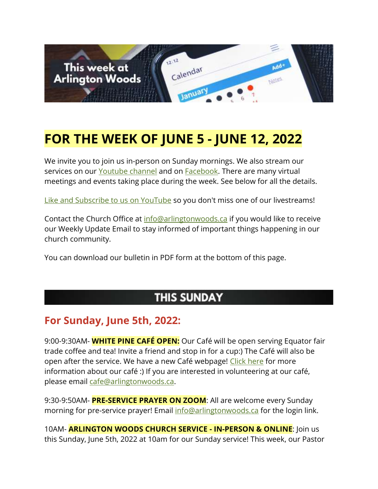

# **FOR THE WEEK OF JUNE 5 - JUNE 12, 2022**

We invite you to join us in-person on Sunday mornings. We also stream our services on our [Youtube channel](https://www.youtube.com/channel/UCN0jh5__-PL-Mpw_3v-4lMg) and on **Facebook**. There are many virtual meetings and events taking place during the week. See below for all the details.

[Like and Subscribe to us on YouTube](http://www.youtube.com/ArlingtonWoodsChurch) so you don't miss one of our livestreams!

Contact the Church Office at [info@arlingtonwoods.ca](mailto:info@arlingtonwoods.ca) if you would like to receive our Weekly Update Email to stay informed of important things happening in our church community.

You can download our bulletin in PDF form at the bottom of this page.

### **THIS SUNDAY**

#### **For Sunday, June 5th, 2022:**

9:00-9:30AM- **WHITE PINE CAFÉ OPEN:** Our Café will be open serving Equator fair trade coffee and tea! Invite a friend and stop in for a cup:) The Café will also be open after the service. We have a new Café webpage! [Click here](https://arlingtonwoods.ca/cafe.php) for more information about our café :) If you are interested in volunteering at our café, please email [cafe@arlingtonwoods.ca.](mailto:cafe@arlingtonwoods.ca)

9:30-9:50AM- **PRE-SERVICE PRAYER ON ZOOM**: All are welcome every Sunday morning for pre-service prayer! Email [info@arlingtonwoods.ca](mailto:info@arlingtonwoods.ca) for the login link.

10AM- **ARLINGTON WOODS CHURCH SERVICE - IN-PERSON & ONLINE**: Join us this Sunday, June 5th, 2022 at 10am for our Sunday service! This week, our Pastor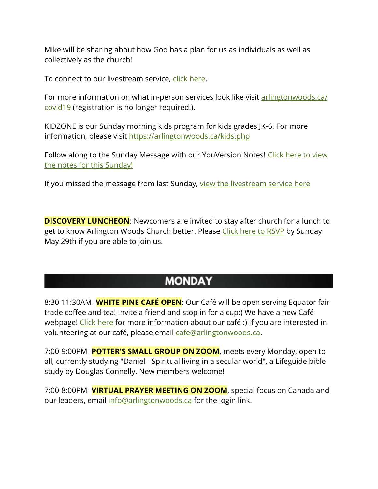Mike will be sharing about how God has a plan for us as individuals as well as collectively as the church!

To connect to our livestream service, [click here.](https://www.youtube.com/channel/UCN0jh5__-PL-Mpw_3v-4lMg)

For more information on what in-person services look like visit arlingtonwoods.ca/ [covid19](https://arlingtonwoods.ca/covid19.php) (registration is no longer required!).

KIDZONE is our Sunday morning kids program for kids grades JK-6. For more information, please visit <https://arlingtonwoods.ca/kids.php>

Follow along to the Sunday Message with our YouVersion Notes! Click here to view [the notes for this Sunday!](http://bible.com/events/48897281)

If you missed the message from last Sunday, [view the livestream service here](https://www.youtube.com/channel/UCN0jh5__-PL-Mpw_3v-4lMg)

**DISCOVERY LUNCHEON:** Newcomers are invited to stay after church for a lunch to get to know Arlington Woods Church better. Please [Click here to RSVP](http://www.arlingtonwoods.ca/lunch) by Sunday May 29th if you are able to join us.

#### **MONDAY**

8:30-11:30AM- **WHITE PINE CAFÉ OPEN:** Our Café will be open serving Equator fair trade coffee and tea! Invite a friend and stop in for a cup:) We have a new Café webpage! [Click here](https://arlingtonwoods.ca/cafe.php) for more information about our café :) If you are interested in volunteering at our café, please email [cafe@arlingtonwoods.ca.](mailto:cafe@arlingtonwoods.ca)

7:00-9:00PM- **POTTER'S SMALL GROUP ON ZOOM**, meets every Monday, open to all, currently studying "Daniel - Spiritual living in a secular world", a Lifeguide bible study by Douglas Connelly. New members welcome!

7:00-8:00PM- **VIRTUAL PRAYER MEETING ON ZOOM**, special focus on Canada and our leaders, email [info@arlingtonwoods.ca](mailto:info@arlingtonwoods.ca) for the login link.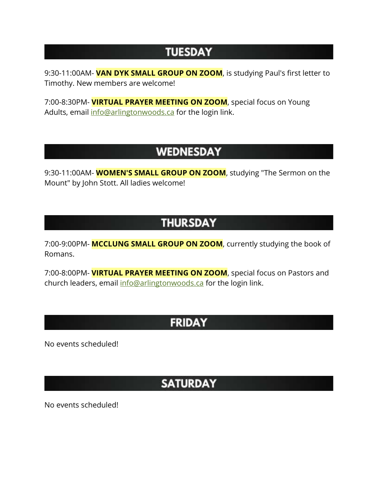### **TUESDAY**

9:30-11:00AM- **VAN DYK SMALL GROUP ON ZOOM**, is studying Paul's first letter to Timothy. New members are welcome!

7:00-8:30PM- **VIRTUAL PRAYER MEETING ON ZOOM**, special focus on Young Adults, email [info@arlingtonwoods.ca](mailto:info@arlingtonwoods.ca) for the login link.

# **WEDNESDAY**

9:30-11:00AM- **WOMEN'S SMALL GROUP ON ZOOM**, studying "The Sermon on the Mount" by John Stott. All ladies welcome!

# **THURSDAY**

7:00-9:00PM- **MCCLUNG SMALL GROUP ON ZOOM**, currently studying the book of Romans.

7:00-8:00PM- **VIRTUAL PRAYER MEETING ON ZOOM**, special focus on Pastors and church leaders, email [info@arlingtonwoods.ca](mailto:info@arlingtonwoods.ca) for the login link.

### **FRIDAY**

No events scheduled!

# **SATURDAY**

No events scheduled!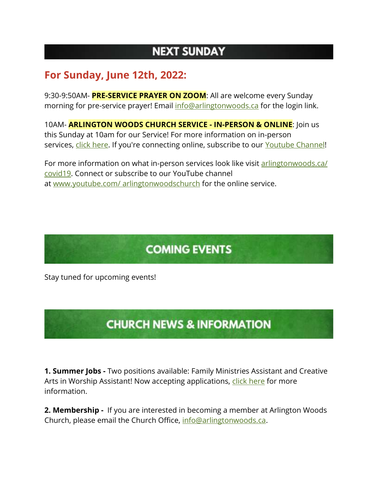# **NEXT SUNDAY**

#### **For Sunday, June 12th, 2022:**

9:30-9:50AM- **PRE-SERVICE PRAYER ON ZOOM**: All are welcome every Sunday morning for pre-service prayer! Email [info@arlingtonwoods.ca](mailto:info@arlingtonwoods.ca) for the login link.

10AM- **ARLINGTON WOODS CHURCH SERVICE - IN-PERSON & ONLINE**: Join us this Sunday at 10am for our Service! For more information on in-person services, [click here.](https://arlingtonwoods.ca/covid19.php) If you're connecting online, subscribe to our [Youtube Channel!](http://www.youtube.com/ArlingtonWoodsChurch)

For more information on what in-person services look like visit [arlingtonwoods.ca/](https://arlingtonwoods.ca/covid19.php)  [covid19.](https://arlingtonwoods.ca/covid19.php) Connect or subscribe to our YouTube channel at www.youtube.com/ [arlingtonwoodschurch](https://www.youtube.com/arlingtonwoodschurch?fbclid=IwAR1K03d9v3OMa1Bqo2xqkwUEbYKvPn60o0X0P74EyVl8ju-MWi7a3_oXTqY) for the online service.

# **COMING EVENTS**

Stay tuned for upcoming events!

# **CHURCH NEWS & INFORMATION**

**1. Summer Jobs -** Two positions available: Family Ministries Assistant and Creative Arts in Worship Assistant! Now accepting applications, [click here](https://arlingtonwoods.ca/employment.php) for more information.

**2. Membership -** If you are interested in becoming a member at Arlington Woods Church, please email the Church Office, [info@arlingtonwoods.ca.](mailto:info@arlingtonwoods.ca)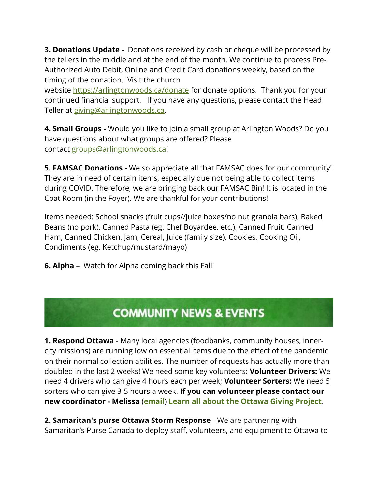**3. Donations Update -** Donations received by cash or cheque will be processed by the tellers in the middle and at the end of the month. We continue to process Pre-Authorized Auto Debit, Online and Credit Card donations weekly, based on the timing of the donation. Visit the church

website <https://arlingtonwoods.ca/donate> for donate options. Thank you for your continued financial support. If you have any questions, please contact the Head Teller at [giving@arlingtonwoods.ca.](mailto:giving@arlingtonwoods.ca)

**4. Small Groups -** Would you like to join a small group at Arlington Woods? Do you have questions about what groups are offered? Please contact [groups@arlingtonwoods.ca!](mailto:groups@arlingtonwoods.ca)

**5. FAMSAC Donations -** We so appreciate all that FAMSAC does for our community! They are in need of certain items, especially due not being able to collect items during COVID. Therefore, we are bringing back our FAMSAC Bin! It is located in the Coat Room (in the Foyer). We are thankful for your contributions!

Items needed: School snacks (fruit cups//juice boxes/no nut granola bars), Baked Beans (no pork), Canned Pasta (eg. Chef Boyardee, etc.), Canned Fruit, Canned Ham, Canned Chicken, Jam, Cereal, Juice (family size), Cookies, Cooking Oil, Condiments (eg. Ketchup/mustard/mayo)

**6. Alpha** – Watch for Alpha coming back this Fall!

#### **COMMUNITY NEWS & EVENTS**

**1. Respond Ottawa** - Many local agencies (foodbanks, community houses, innercity missions) are running low on essential items due to the effect of the pandemic on their normal collection abilities. The number of requests has actually more than doubled in the last 2 weeks! We need some key volunteers: **Volunteer Drivers:** We need 4 drivers who can give 4 hours each per week; **Volunteer Sorters:** We need 5 sorters who can give 3-5 hours a week. **If you can volunteer please contact our new coordinator - Melissa** (**[email](mailto:melissazoght@gmail.com)**) **[Learn all about the Ottawa Giving Project](https://r20.rs6.net/tn.jsp?f=0010SxYLMhvqZa0wJCMecEVnf4PCouArLTPe4Ei9PdzzRO8ZYMqDPydcZpOzN5G64SF0wXB_W1glnJMqj6hyFM8DHwDWG1xsZoa-wTIZHPxtxJcl-aLWqrkJ399gpnSySJ6CZUCpWI6BVq9bFJOOk_UGuauUq5sqFXvRs5Azaqrfzc=&c=G3W-ZVF5dmt1yAPG8l9ENJms2pyRpHu-BY-PGHbm0dHMJKM8WfvWtw==&ch=tkDhqlVB2OCc4AI2LX202H-VbUBS_U5knQZEE2ICviFJdcPQikuBfw==)**.

**2. Samaritan's purse Ottawa Storm Response** - We are partnering with Samaritan's Purse Canada to deploy staff, volunteers, and equipment to Ottawa to